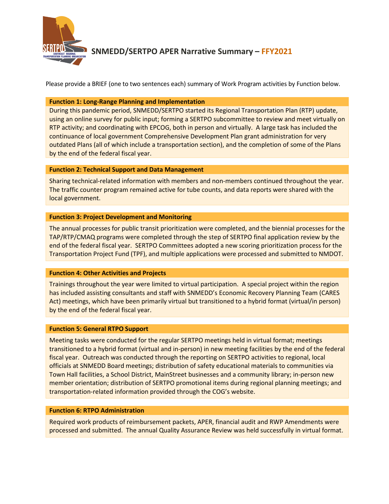

# **SNMEDD/SERTPO APER Narrative Summary – FFY2021**

Please provide a BRIEF (one to two sentences each) summary of Work Program activities by Function below.

## **Function 1: Long-Range Planning and Implementation**

During this pandemic period, SNMEDD/SERTPO started its Regional Transportation Plan (RTP) update, using an online survey for public input; forming a SERTPO subcommittee to review and meet virtually on RTP activity; and coordinating with EPCOG, both in person and virtually. A large task has included the continuance of local government Comprehensive Development Plan grant administration for very outdated Plans (all of which include a transportation section), and the completion of some of the Plans by the end of the federal fiscal year.

### **Function 2: Technical Support and Data Management**

Sharing technical-related information with members and non-members continued throughout the year. The traffic counter program remained active for tube counts, and data reports were shared with the local government.

## **Function 3: Project Development and Monitoring**

The annual processes for public transit prioritization were completed, and the biennial processes for the TAP/RTP/CMAQ programs were completed through the step of SERTPO final application review by the end of the federal fiscal year. SERTPO Committees adopted a new scoring prioritization process for the Transportation Project Fund (TPF), and multiple applications were processed and submitted to NMDOT.

#### **Function 4: Other Activities and Projects**

Trainings throughout the year were limited to virtual participation. A special project within the region has included assisting consultants and staff with SNMEDD's Economic Recovery Planning Team (CARES Act) meetings, which have been primarily virtual but transitioned to a hybrid format (virtual/in person) by the end of the federal fiscal year.

#### **Function 5: General RTPO Support**

Meeting tasks were conducted for the regular SERTPO meetings held in virtual format; meetings transitioned to a hybrid format (virtual and in-person) in new meeting facilities by the end of the federal fiscal year. Outreach was conducted through the reporting on SERTPO activities to regional, local officials at SNMEDD Board meetings; distribution of safety educational materials to communities via Town Hall facilities, a School District, MainStreet businesses and a community library; in-person new member orientation; distribution of SERTPO promotional items during regional planning meetings; and transportation-related information provided through the COG's website.

#### **Function 6: RTPO Administration**

Required work products of reimbursement packets, APER, financial audit and RWP Amendments were processed and submitted. The annual Quality Assurance Review was held successfully in virtual format.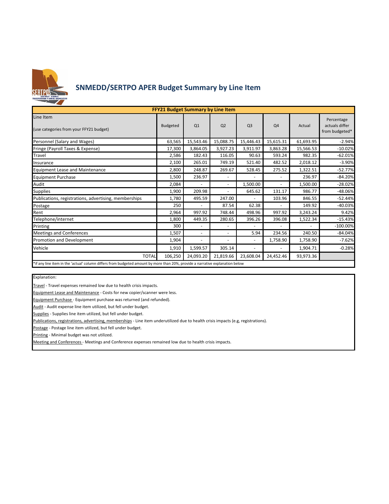

# **SNMEDD/SERTPO APER Budget Summary by Line Item**

| <b>FFY21 Budget Summary by Line Item</b>                                                                                     |                 |                          |                          |                          |                |           |                                                |  |  |  |  |
|------------------------------------------------------------------------------------------------------------------------------|-----------------|--------------------------|--------------------------|--------------------------|----------------|-----------|------------------------------------------------|--|--|--|--|
| Line Item<br>(use categories from your FFY21 budget)                                                                         | <b>Budgeted</b> | Q1                       | Q <sub>2</sub>           | Q <sub>3</sub>           | Q4             | Actual    | Percentage<br>actuals differ<br>from budgeted* |  |  |  |  |
| Personnel (Salary and Wages)                                                                                                 | 63,565          | 15,543.46                | 15,088.75                | 15,446.43                | 15,615.31      | 61,693.95 | $-2.94%$                                       |  |  |  |  |
| Fringe (Payroll Taxes & Expense)                                                                                             | 17,300          | 3,864.05                 | 3,927.23                 | 3,911.97                 | 3,863.28       | 15,566.53 | $-10.02%$                                      |  |  |  |  |
| Travel                                                                                                                       | 2,586           | 182.43                   | 116.05                   | 90.63                    | 593.24         | 982.35    | $-62.01%$                                      |  |  |  |  |
| Insurance                                                                                                                    | 2,100           | 265.01                   | 749.19                   | 521.40                   | 482.52         | 2,018.12  | $-3.90%$                                       |  |  |  |  |
| <b>Equipment Lease and Maintenance</b>                                                                                       | 2,800           | 248.87                   | 269.67                   | 528.45                   | 275.52         | 1,322.51  | $-52.77%$                                      |  |  |  |  |
| <b>Equipment Purchase</b>                                                                                                    | 1,500           | 236.97                   | $\blacksquare$           | $\overline{a}$           | $\blacksquare$ | 236.97    | $-84.20%$                                      |  |  |  |  |
| Audit                                                                                                                        | 2,084           |                          | $\blacksquare$           | 1,500.00                 | $\overline{a}$ | 1,500.00  | $-28.02%$                                      |  |  |  |  |
| <b>Supplies</b>                                                                                                              | 1,900           | 209.98                   | $\blacksquare$           | 645.62                   | 131.17         | 986.77    | -48.06%                                        |  |  |  |  |
| Publications, registrations, advertising, memberships                                                                        | 1,780           | 495.59                   | 247.00                   |                          | 103.96         | 846.55    | $-52.44%$                                      |  |  |  |  |
| Postage                                                                                                                      | 250             | $\ddot{\phantom{1}}$     | 87.54                    | 62.38                    |                | 149.92    | $-40.03%$                                      |  |  |  |  |
| Rent                                                                                                                         | 2,964           | 997.92                   | 748.44                   | 498.96                   | 997.92         | 3,243.24  | 9.42%                                          |  |  |  |  |
| Telephone/internet                                                                                                           | 1,800           | 449.35                   | 280.65                   | 396.26                   | 396.08         | 1,522.34  | $-15.43%$                                      |  |  |  |  |
| Printing                                                                                                                     | 300             |                          | $\overline{\phantom{a}}$ |                          |                |           | $-100.00\%$                                    |  |  |  |  |
| <b>Meetings and Conferences</b>                                                                                              | 1,507           | $\overline{\phantom{a}}$ | $\overline{\phantom{a}}$ | 5.94                     | 234.56         | 240.50    | $-84.04%$                                      |  |  |  |  |
| Promotion and Development                                                                                                    | 1,904           |                          | $\overline{a}$           | $\sim$                   | 1,758.90       | 1,758.90  | $-7.62%$                                       |  |  |  |  |
| Vehicle                                                                                                                      | 1,910           | 1,599.57                 | 305.14                   | $\overline{\phantom{a}}$ | ٠              | 1,904.71  | $-0.28%$                                       |  |  |  |  |
| <b>TOTAL</b>                                                                                                                 | 106,250         | 24,093.20                | 21,819.66                | 23,608.04                | 24,452.46      | 93,973.36 |                                                |  |  |  |  |
| *if any line item in the lactual column differs from budgeted amount by more than 20%, provide a narrative explanation below |                 |                          |                          |                          |                |           |                                                |  |  |  |  |

\*if any line item in the 'actual' column differs from budgeted amount by more than 20%, provide a narrative explanation below

Explanation:

Travel - Travel expenses remained low due to health crisis impacts.

Equipment Lease and Maintenance - Costs for new copier/scanner were less.

Equipment Purchase - Equipment purchase was returned (and refunded).

Audit - Audit expense line item utilized, but fell under budget.

Supplies - Supplies line item utilized, but fell under budget.

Publications, registrations, advertising, memberships - Line item underutilized due to health crisis impacts (e.g, registrations).

Postage - Postage line item utilized, but fell under budget.

Printing - Minimal budget was not utilized.

Meeting and Conferences - Meetings and Conference expenses remained low due to health crisis impacts.